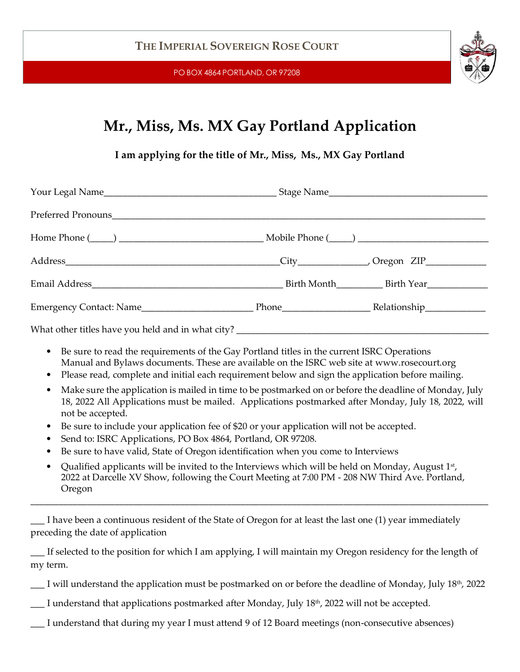PO BOX 4864 PORTLAND, OR 97208



## **Mr., Miss, Ms. MX Gay Portland Application**

**I am applying for the title of Mr., Miss, Ms., MX Gay Portland**

- Be sure to read the requirements of the Gay Portland titles in the current ISRC Operations Manual and Bylaws documents. These are available on the ISRC web site at [www.rosecourt.org](http://www.rosecourt.org/)
- Please read, complete and initial each requirement below and sign the application before mailing.
- Make sure the application is mailed in time to be postmarked on or before the deadline of Monday, July 18, 2022 All Applications must be mailed. Applications postmarked after Monday, July 18, 2022, will not be accepted.
- Be sure to include your application fee of \$20 or your application will not be accepted.
- Send to: ISRC Applications, PO Box 4864, Portland, OR 97208.
- Be sure to have valid, State of Oregon identification when you come to Interviews
- Qualified applicants will be invited to the Interviews which will be held on Monday, August  $1<sup>st</sup>$ , 2022 at Darcelle XV Show, following the Court Meeting at 7:00 PM - 208 NW Third Ave. Portland, Oregon

\_\_\_\_\_\_\_\_\_\_\_\_\_\_\_\_\_\_\_\_\_\_\_\_\_\_\_\_\_\_\_\_\_\_\_\_\_\_\_\_\_\_\_\_\_\_\_\_\_\_\_\_\_\_\_\_\_\_\_\_\_\_\_\_\_\_\_\_\_\_\_\_\_\_\_\_\_\_\_\_\_\_\_\_\_\_\_\_\_\_\_\_\_\_\_\_\_\_

\_\_\_ I have been a continuous resident of the State of Oregon for at least the last one (1) year immediately preceding the date of application

If selected to the position for which I am applying, I will maintain my Oregon residency for the length of my term.

\_\_\_ I will understand the application must be postmarked on or before the deadline of Monday, July 18th , 2022

I understand that applications postmarked after Monday, July 18<sup>th</sup>, 2022 will not be accepted.

I understand that during my year I must attend 9 of 12 Board meetings (non-consecutive absences)